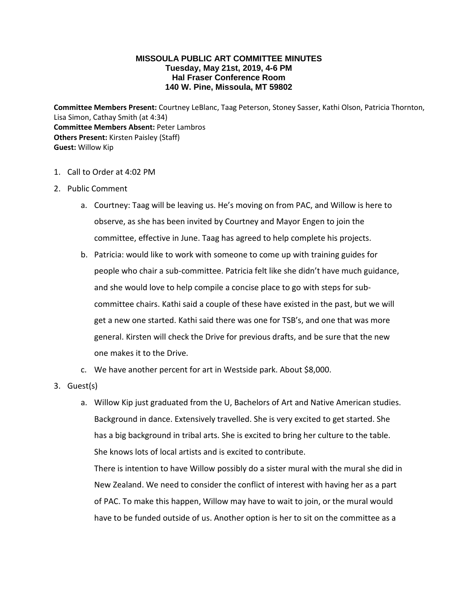## **MISSOULA PUBLIC ART COMMITTEE MINUTES Tuesday, May 21st, 2019, 4-6 PM Hal Fraser Conference Room 140 W. Pine, Missoula, MT 59802**

**Committee Members Present:** Courtney LeBlanc, Taag Peterson, Stoney Sasser, Kathi Olson, Patricia Thornton, Lisa Simon, Cathay Smith (at 4:34) **Committee Members Absent:** Peter Lambros **Others Present:** Kirsten Paisley (Staff) **Guest:** Willow Kip

- 1. Call to Order at 4:02 PM
- 2. Public Comment
	- a. Courtney: Taag will be leaving us. He's moving on from PAC, and Willow is here to observe, as she has been invited by Courtney and Mayor Engen to join the committee, effective in June. Taag has agreed to help complete his projects.
	- b. Patricia: would like to work with someone to come up with training guides for people who chair a sub-committee. Patricia felt like she didn't have much guidance, and she would love to help compile a concise place to go with steps for subcommittee chairs. Kathi said a couple of these have existed in the past, but we will get a new one started. Kathi said there was one for TSB's, and one that was more general. Kirsten will check the Drive for previous drafts, and be sure that the new one makes it to the Drive.
	- c. We have another percent for art in Westside park. About \$8,000.
- 3. Guest(s)
	- a. Willow Kip just graduated from the U, Bachelors of Art and Native American studies. Background in dance. Extensively travelled. She is very excited to get started. She has a big background in tribal arts. She is excited to bring her culture to the table. She knows lots of local artists and is excited to contribute.

There is intention to have Willow possibly do a sister mural with the mural she did in New Zealand. We need to consider the conflict of interest with having her as a part of PAC. To make this happen, Willow may have to wait to join, or the mural would have to be funded outside of us. Another option is her to sit on the committee as a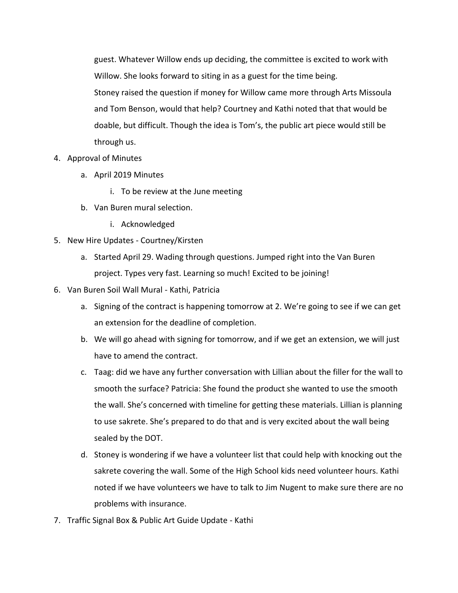guest. Whatever Willow ends up deciding, the committee is excited to work with Willow. She looks forward to siting in as a guest for the time being. Stoney raised the question if money for Willow came more through Arts Missoula and Tom Benson, would that help? Courtney and Kathi noted that that would be doable, but difficult. Though the idea is Tom's, the public art piece would still be through us.

- 4. Approval of Minutes
	- a. April 2019 Minutes
		- i. To be review at the June meeting
	- b. Van Buren mural selection.
		- i. Acknowledged
- 5. New Hire Updates Courtney/Kirsten
	- a. Started April 29. Wading through questions. Jumped right into the Van Buren project. Types very fast. Learning so much! Excited to be joining!
- 6. Van Buren Soil Wall Mural Kathi, Patricia
	- a. Signing of the contract is happening tomorrow at 2. We're going to see if we can get an extension for the deadline of completion.
	- b. We will go ahead with signing for tomorrow, and if we get an extension, we will just have to amend the contract.
	- c. Taag: did we have any further conversation with Lillian about the filler for the wall to smooth the surface? Patricia: She found the product she wanted to use the smooth the wall. She's concerned with timeline for getting these materials. Lillian is planning to use sakrete. She's prepared to do that and is very excited about the wall being sealed by the DOT.
	- d. Stoney is wondering if we have a volunteer list that could help with knocking out the sakrete covering the wall. Some of the High School kids need volunteer hours. Kathi noted if we have volunteers we have to talk to Jim Nugent to make sure there are no problems with insurance.
- 7. Traffic Signal Box & Public Art Guide Update Kathi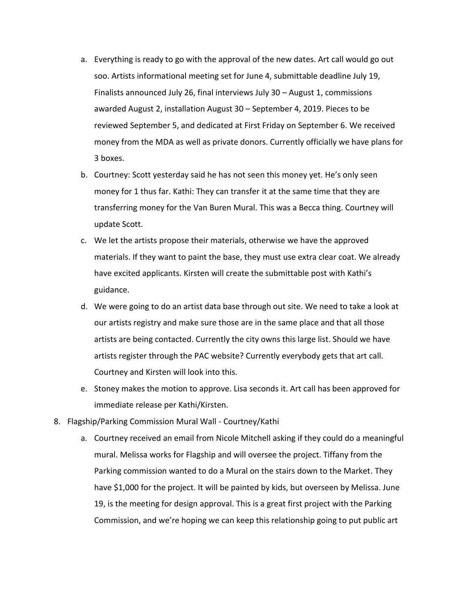- a. Everything is ready to go with the approval of the new dates. Art call would go out soo. Artists informational meeting set for June 4, submittable deadline July 19, Finalists announced July 26, final interviews July 30 – August 1, commissions awarded August 2, installation August 30 – September 4, 2019. Pieces to be reviewed September 5, and dedicated at First Friday on September 6. We received money from the MDA as well as private donors. Currently officially we have plans for 3 boxes.
- b. Courtney: Scott yesterday said he has not seen this money yet. He's only seen money for 1 thus far. Kathi: They can transfer it at the same time that they are transferring money for the Van Buren Mural. This was a Becca thing. Courtney will update Scott.
- c. We let the artists propose their materials, otherwise we have the approved materials. If they want to paint the base, they must use extra clear coat. We already have excited applicants. Kirsten will create the submittable post with Kathi's guidance.
- d. We were going to do an artist data base through out site. We need to take a look at our artists registry and make sure those are in the same place and that all those artists are being contacted. Currently the city owns this large list. Should we have artists register through the PAC website? Currently everybody gets that art call. Courtney and Kirsten will look into this.
- e. Stoney makes the motion to approve. Lisa seconds it. Art call has been approved for immediate release per Kathi/Kirsten.
- 8. Flagship/Parking Commission Mural Wall Courtney/Kathi
	- a. Courtney received an email from Nicole Mitchell asking if they could do a meaningful mural. Melissa works for Flagship and will oversee the project. Tiffany from the Parking commission wanted to do a Mural on the stairs down to the Market. They have \$1,000 for the project. It will be painted by kids, but overseen by Melissa. June 19, is the meeting for design approval. This is a great first project with the Parking Commission, and we're hoping we can keep this relationship going to put public art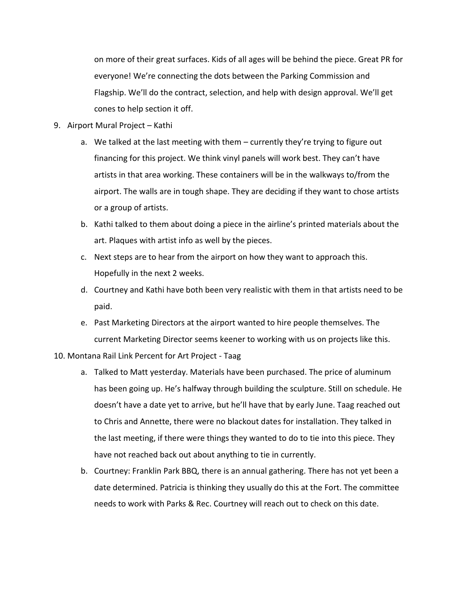on more of their great surfaces. Kids of all ages will be behind the piece. Great PR for everyone! We're connecting the dots between the Parking Commission and Flagship. We'll do the contract, selection, and help with design approval. We'll get cones to help section it off.

- 9. Airport Mural Project Kathi
	- a. We talked at the last meeting with them currently they're trying to figure out financing for this project. We think vinyl panels will work best. They can't have artists in that area working. These containers will be in the walkways to/from the airport. The walls are in tough shape. They are deciding if they want to chose artists or a group of artists.
	- b. Kathi talked to them about doing a piece in the airline's printed materials about the art. Plaques with artist info as well by the pieces.
	- c. Next steps are to hear from the airport on how they want to approach this. Hopefully in the next 2 weeks.
	- d. Courtney and Kathi have both been very realistic with them in that artists need to be paid.
	- e. Past Marketing Directors at the airport wanted to hire people themselves. The current Marketing Director seems keener to working with us on projects like this.

10. Montana Rail Link Percent for Art Project - Taag

- a. Talked to Matt yesterday. Materials have been purchased. The price of aluminum has been going up. He's halfway through building the sculpture. Still on schedule. He doesn't have a date yet to arrive, but he'll have that by early June. Taag reached out to Chris and Annette, there were no blackout dates for installation. They talked in the last meeting, if there were things they wanted to do to tie into this piece. They have not reached back out about anything to tie in currently.
- b. Courtney: Franklin Park BBQ, there is an annual gathering. There has not yet been a date determined. Patricia is thinking they usually do this at the Fort. The committee needs to work with Parks & Rec. Courtney will reach out to check on this date.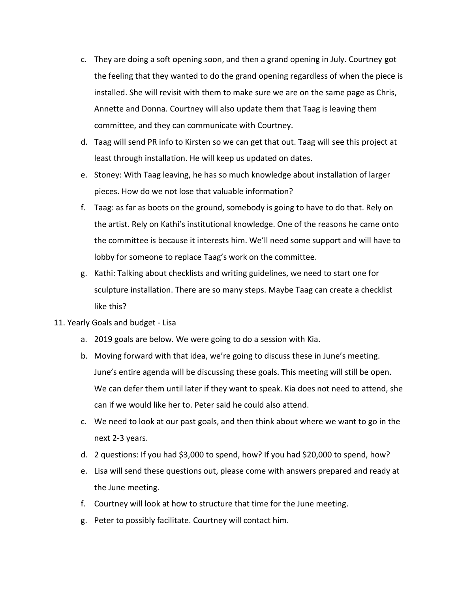- c. They are doing a soft opening soon, and then a grand opening in July. Courtney got the feeling that they wanted to do the grand opening regardless of when the piece is installed. She will revisit with them to make sure we are on the same page as Chris, Annette and Donna. Courtney will also update them that Taag is leaving them committee, and they can communicate with Courtney.
- d. Taag will send PR info to Kirsten so we can get that out. Taag will see this project at least through installation. He will keep us updated on dates.
- e. Stoney: With Taag leaving, he has so much knowledge about installation of larger pieces. How do we not lose that valuable information?
- f. Taag: as far as boots on the ground, somebody is going to have to do that. Rely on the artist. Rely on Kathi's institutional knowledge. One of the reasons he came onto the committee is because it interests him. We'll need some support and will have to lobby for someone to replace Taag's work on the committee.
- g. Kathi: Talking about checklists and writing guidelines, we need to start one for sculpture installation. There are so many steps. Maybe Taag can create a checklist like this?
- 11. Yearly Goals and budget Lisa
	- a. 2019 goals are below. We were going to do a session with Kia.
	- b. Moving forward with that idea, we're going to discuss these in June's meeting. June's entire agenda will be discussing these goals. This meeting will still be open. We can defer them until later if they want to speak. Kia does not need to attend, she can if we would like her to. Peter said he could also attend.
	- c. We need to look at our past goals, and then think about where we want to go in the next 2-3 years.
	- d. 2 questions: If you had \$3,000 to spend, how? If you had \$20,000 to spend, how?
	- e. Lisa will send these questions out, please come with answers prepared and ready at the June meeting.
	- f. Courtney will look at how to structure that time for the June meeting.
	- g. Peter to possibly facilitate. Courtney will contact him.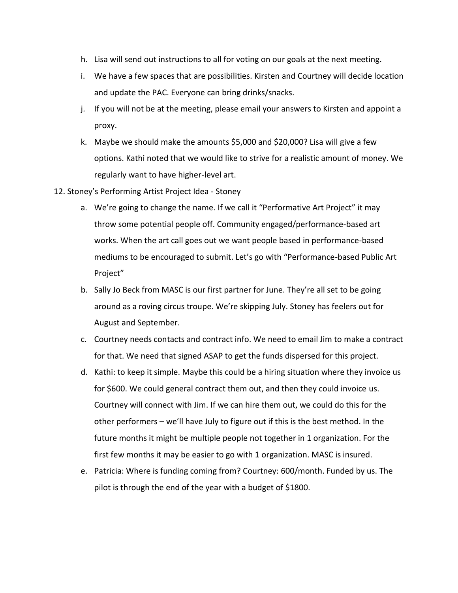- h. Lisa will send out instructions to all for voting on our goals at the next meeting.
- i. We have a few spaces that are possibilities. Kirsten and Courtney will decide location and update the PAC. Everyone can bring drinks/snacks.
- j. If you will not be at the meeting, please email your answers to Kirsten and appoint a proxy.
- k. Maybe we should make the amounts \$5,000 and \$20,000? Lisa will give a few options. Kathi noted that we would like to strive for a realistic amount of money. We regularly want to have higher-level art.
- 12. Stoney's Performing Artist Project Idea Stoney
	- a. We're going to change the name. If we call it "Performative Art Project" it may throw some potential people off. Community engaged/performance-based art works. When the art call goes out we want people based in performance-based mediums to be encouraged to submit. Let's go with "Performance-based Public Art Project"
	- b. Sally Jo Beck from MASC is our first partner for June. They're all set to be going around as a roving circus troupe. We're skipping July. Stoney has feelers out for August and September.
	- c. Courtney needs contacts and contract info. We need to email Jim to make a contract for that. We need that signed ASAP to get the funds dispersed for this project.
	- d. Kathi: to keep it simple. Maybe this could be a hiring situation where they invoice us for \$600. We could general contract them out, and then they could invoice us. Courtney will connect with Jim. If we can hire them out, we could do this for the other performers – we'll have July to figure out if this is the best method. In the future months it might be multiple people not together in 1 organization. For the first few months it may be easier to go with 1 organization. MASC is insured.
	- e. Patricia: Where is funding coming from? Courtney: 600/month. Funded by us. The pilot is through the end of the year with a budget of \$1800.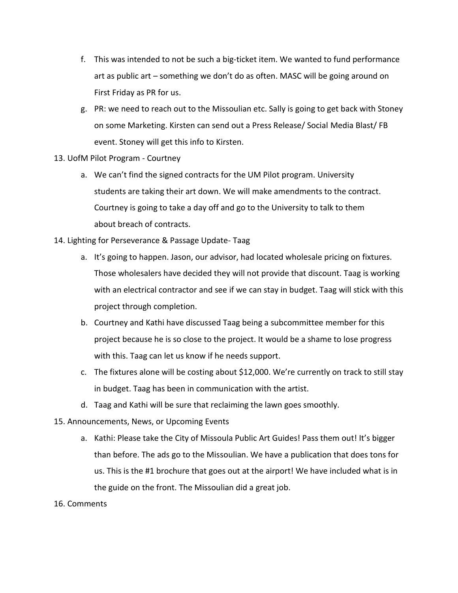- f. This was intended to not be such a big-ticket item. We wanted to fund performance art as public art – something we don't do as often. MASC will be going around on First Friday as PR for us.
- g. PR: we need to reach out to the Missoulian etc. Sally is going to get back with Stoney on some Marketing. Kirsten can send out a Press Release/ Social Media Blast/ FB event. Stoney will get this info to Kirsten.
- 13. UofM Pilot Program Courtney
	- a. We can't find the signed contracts for the UM Pilot program. University students are taking their art down. We will make amendments to the contract. Courtney is going to take a day off and go to the University to talk to them about breach of contracts.
- 14. Lighting for Perseverance & Passage Update- Taag
	- a. It's going to happen. Jason, our advisor, had located wholesale pricing on fixtures. Those wholesalers have decided they will not provide that discount. Taag is working with an electrical contractor and see if we can stay in budget. Taag will stick with this project through completion.
	- b. Courtney and Kathi have discussed Taag being a subcommittee member for this project because he is so close to the project. It would be a shame to lose progress with this. Taag can let us know if he needs support.
	- c. The fixtures alone will be costing about \$12,000. We're currently on track to still stay in budget. Taag has been in communication with the artist.
	- d. Taag and Kathi will be sure that reclaiming the lawn goes smoothly.
- 15. Announcements, News, or Upcoming Events
	- a. Kathi: Please take the City of Missoula Public Art Guides! Pass them out! It's bigger than before. The ads go to the Missoulian. We have a publication that does tons for us. This is the #1 brochure that goes out at the airport! We have included what is in the guide on the front. The Missoulian did a great job.
- 16. Comments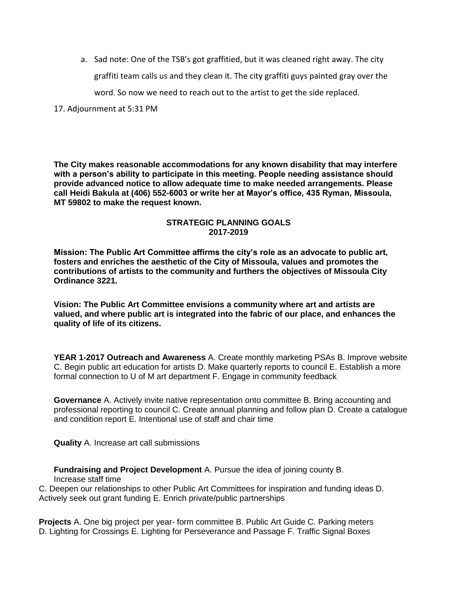a. Sad note: One of the TSB's got graffitied, but it was cleaned right away. The city graffiti team calls us and they clean it. The city graffiti guys painted gray over the word. So now we need to reach out to the artist to get the side replaced.

17. Adjournment at 5:31 PM

**The City makes reasonable accommodations for any known disability that may interfere with a person's ability to participate in this meeting. People needing assistance should provide advanced notice to allow adequate time to make needed arrangements. Please call Heidi Bakula at (406) 552-6003 or write her at Mayor's office, 435 Ryman, Missoula, MT 59802 to make the request known.** 

## **STRATEGIC PLANNING GOALS 2017-2019**

**Mission: The Public Art Committee affirms the city's role as an advocate to public art, fosters and enriches the aesthetic of the City of Missoula, values and promotes the contributions of artists to the community and furthers the objectives of Missoula City Ordinance 3221.** 

**Vision: The Public Art Committee envisions a community where art and artists are valued, and where public art is integrated into the fabric of our place, and enhances the quality of life of its citizens.** 

**YEAR 1-2017 Outreach and Awareness** A. Create monthly marketing PSAs B. Improve website C. Begin public art education for artists D. Make quarterly reports to council E. Establish a more formal connection to U of M art department F. Engage in community feedback

**Governance** A. Actively invite native representation onto committee B. Bring accounting and professional reporting to council C. Create annual planning and follow plan D. Create a catalogue and condition report E. Intentional use of staff and chair time

**Quality** A. Increase art call submissions

**Fundraising and Project Development** A. Pursue the idea of joining county B. Increase staff time

C. Deepen our relationships to other Public Art Committees for inspiration and funding ideas D. Actively seek out grant funding E. Enrich private/public partnerships

**Projects** A. One big project per year- form committee B. Public Art Guide C. Parking meters D. Lighting for Crossings E. Lighting for Perseverance and Passage F. Traffic Signal Boxes